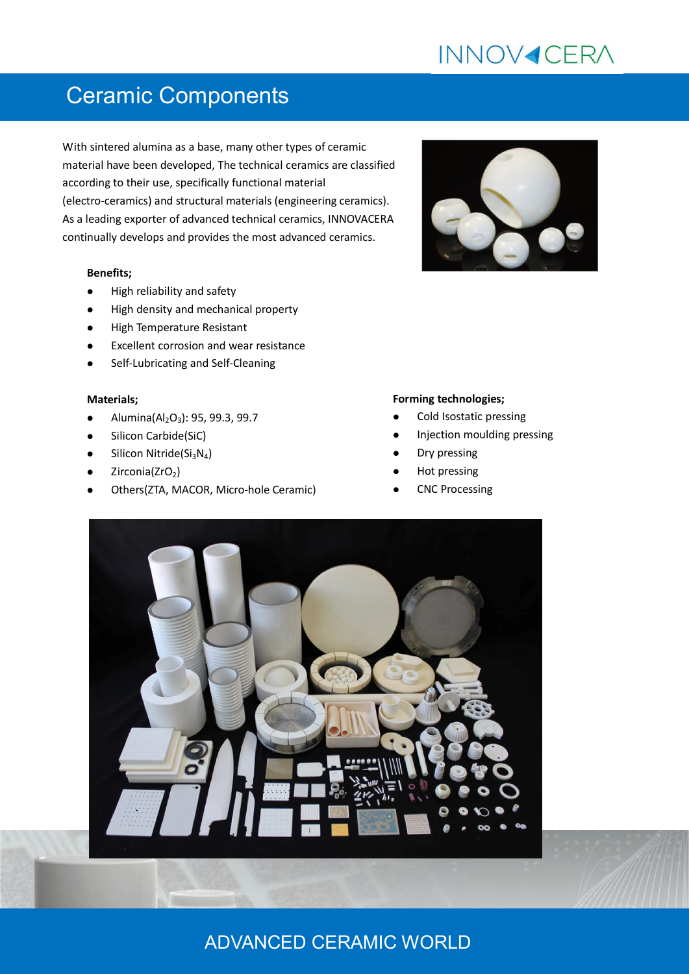# **INNOV4CERA**

## Ceramic Components

With sintered alumina as a base, many other types of ceramic material have been developed, The technical ceramics are classified according to their use, specifically functional material (electro-ceramics) and structural materials (engineering ceramics). As a leading exporter of advanced technical ceramics, INNOVACERA continually develops and provides the most advanced ceramics.

#### **Benefits;**

- High reliability and safety
- High density and mechanical property
- High Temperature Resistant
- Excellent corrosion and wear resistance
- Self-Lubricating and Self-Cleaning

#### **Materials;**

- Alumina( $Al_2O_3$ ): 95, 99.3, 99.7
- Silicon Carbide(SiC)
- Silicon Nitride(Si<sub>3</sub>N<sub>4</sub>)
- Zirconia(ZrO<sub>2</sub>)
- Others(ZTA, MACOR, Micro-hole Ceramic)



#### **Forming technologies;**

- Cold Isostatic pressing
- Injection moulding pressing
- Dry pressing
- Hot pressing
- CNC Processing



### ADVANCED CERAMIC WORLD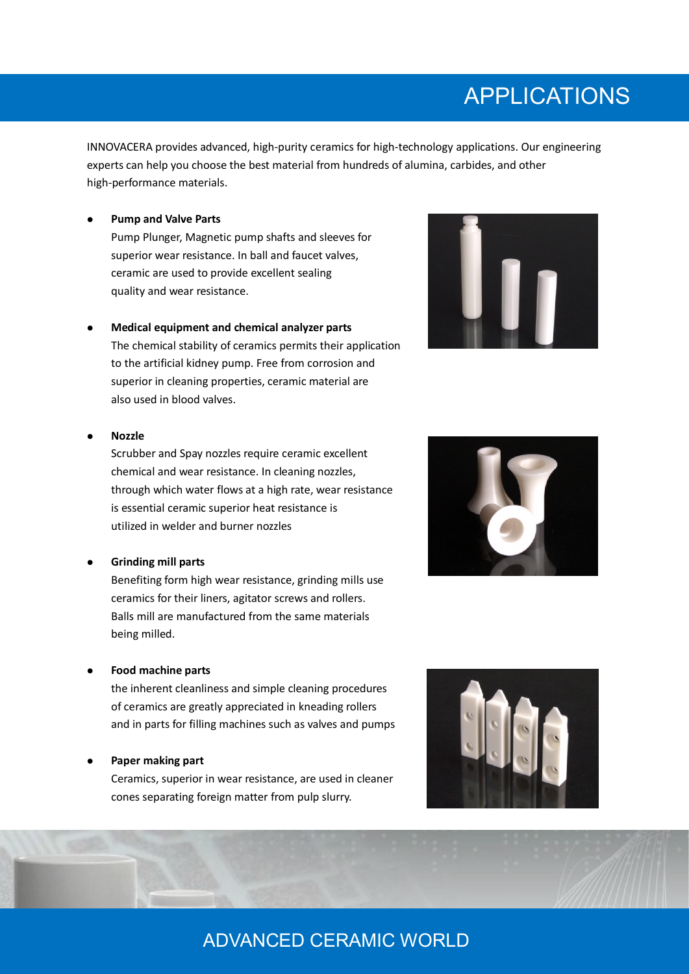## APPLICATIONS

INNOVACERA provides advanced, high-purity ceramics for high-technology applications. Our engineering experts can help you choose the best material from hundreds of alumina, carbides, and other high-performance materials.

**Pump and Valve Parts**

Pump Plunger, Magnetic pump shafts and sleeves for superior wear resistance. In ball and faucet valves, ceramic are used to provide excellent sealing quality and wear resistance.

 **Medical equipment and chemical analyzer parts** The chemical stability of ceramics permits their application

to the artificial kidney pump. Free from corrosion and superior in cleaning properties, ceramic material are also used in blood valves.



#### **Nozzle**

Scrubber and Spay nozzles require ceramic excellent chemical and wear resistance. In cleaning nozzles, through which water flows at a high rate, wear resistance is essential ceramic superior heat resistance is utilized in welder and burner nozzles

#### **Grinding mill parts**

Benefiting form high wear resistance, grinding mills use ceramics for their liners, agitator screws and rollers. Balls mill are manufactured from the same materials being milled.

#### **Food machine parts**

the inherent cleanliness and simple cleaning procedures of ceramics are greatly appreciated in kneading rollers and in parts for filling machines such as valves and pumps

#### **Paper making part**

Ceramics, superior in wear resistance, are used in cleaner cones separating foreign matter from pulp slurry.





## ADVANCED CERAMIC WORLD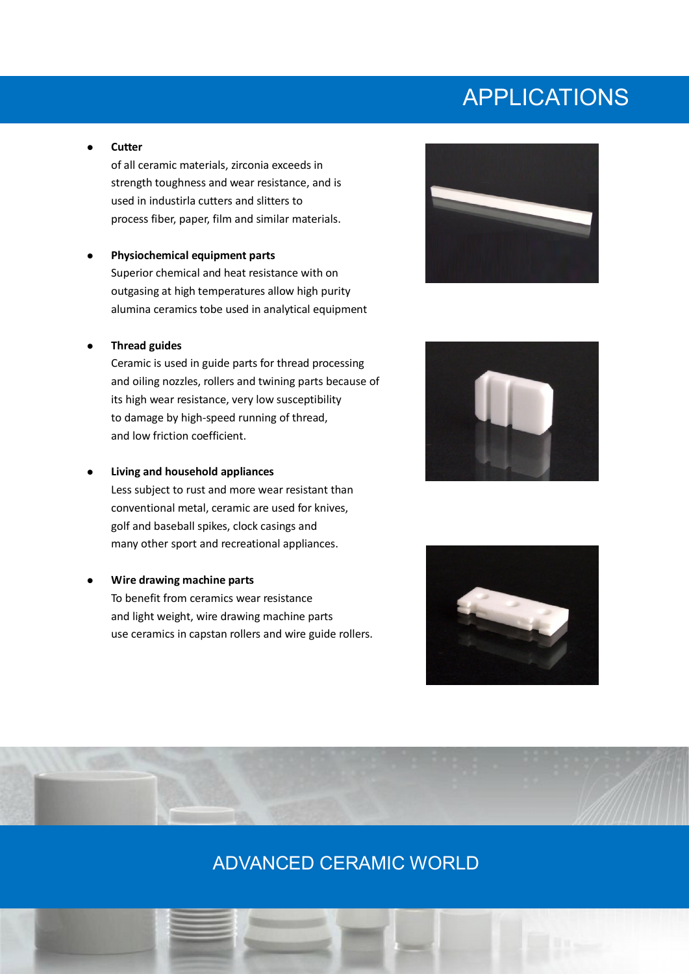## APPLICATIONS

**Cutter**

of all ceramic materials, zirconia exceeds in strength toughness and wear resistance, and is used in industirla cutters and slitters to process fiber, paper, film and similar materials.

 **Physiochemical equipment parts** Superior chemical and heat resistance with on outgasing at high temperatures allow high purity alumina ceramics tobe used in analytical equipment

#### **Thread guides**

Ceramic is used in guide parts for thread processing and oiling nozzles, rollers and twining parts because of its high wear resistance, very low susceptibility to damage by high-speed running of thread, and low friction coefficient.

#### **Living and household appliances**

Less subject to rust and more wear resistant than conventional metal, ceramic are used for knives, golf and baseball spikes, clock casings and many other sport and recreational appliances.

**Wire drawing machine parts**

To benefit from ceramics wear resistance and light weight, wire drawing machine parts use ceramics in capstan rollers and wire guide rollers.







### ADVANCED CERAMIC WORLD